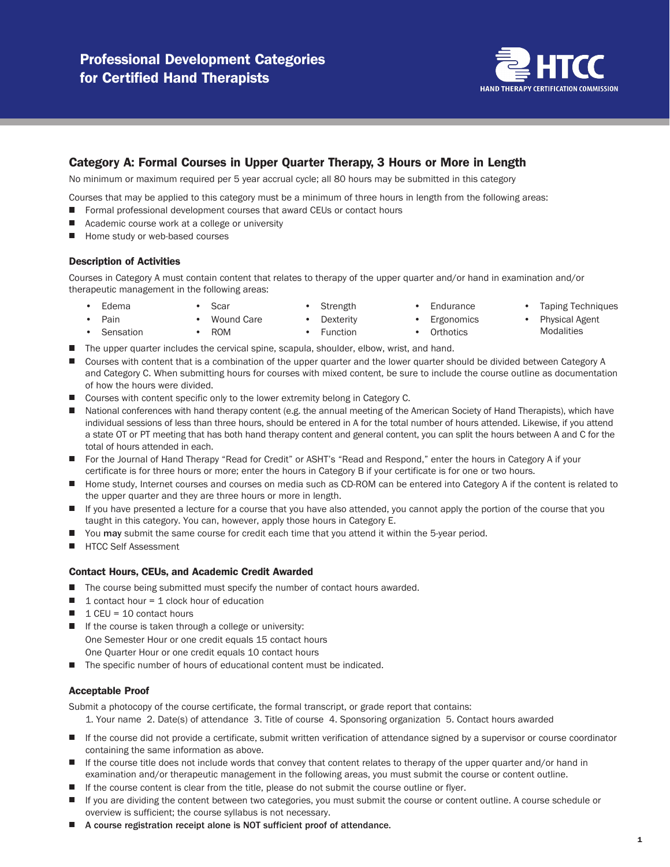

## Category A: Formal Courses in Upper Quarter Therapy, 3 Hours or More in Length

No minimum or maximum required per 5 year accrual cycle; all 80 hours may be submitted in this category

Courses that may be applied to this category must be a minimum of three hours in length from the following areas:

- Formal professional development courses that award CEUs or contact hours
- Academic course work at a college or university
- Home study or web-based courses

#### Description of Activities

Courses in Category A must contain content that relates to therapy of the upper quarter and/or hand in examination and/or therapeutic management in the following areas:

• Edema

• Pain

- **Strength**
- **Endurance Ergonomics**
- Taping Techniques
- **Dexterity Orthotics**
- Physical Agent **Modalities**

**Sensation** • ROM • Function

• Scar

- The upper quarter includes the cervical spine, scapula, shoulder, elbow, wrist, and hand.
- Courses with content that is a combination of the upper quarter and the lower quarter should be divided between Category A and Category C. When submitting hours for courses with mixed content, be sure to include the course outline as documentation of how the hours were divided.
- Courses with content specific only to the lower extremity belong in Category C.

Wound Care

- $\blacksquare$ National conferences with hand therapy content (e.g. the annual meeting of the American Society of Hand Therapists), which have individual sessions of less than three hours, should be entered in A for the total number of hours attended. Likewise, if you attend a state OT or PT meeting that has both hand therapy content and general content, you can split the hours between A and C for the total of hours attended in each.
- For the Journal of Hand Therapy "Read for Credit" or ASHT's "Read and Respond," enter the hours in Category A if your certificate is for three hours or more; enter the hours in Category B if your certificate is for one or two hours.
- Home study, Internet courses and courses on media such as CD-ROM can be entered into Category A if the content is related to the upper quarter and they are three hours or more in length.
- $\Box$ If you have presented a lecture for a course that you have also attended, you cannot apply the portion of the course that you taught in this category. You can, however, apply those hours in Category E.
- You may submit the same course for credit each time that you attend it within the 5-year period.
- **HTCC Self Assessment**

### Contact Hours, CEUs, and Academic Credit Awarded

- The course being submitted must specify the number of contact hours awarded.
- $\blacksquare$ 1 contact hour=1 clock hour of education
- $\blacksquare$ 1 CEU = 10 contact hours
- $\blacksquare$  If the course is taken through a college or university: One Semester Hour or one credit equals 15 contact hours One Quarter Hour or one credit equals 10 contact hours
- The specific number of hours of educational content must be indicated.

#### Acceptable Proof

Submit a photocopy of the course certificate, the formal transcript, or grade report that contains:

- 1. Your name 2. Date(s) of attendance 3. Title of course 4. Sponsoring organization 5. Contact hours awarded
- If the course did not provide a certificate, submit written verification of attendance signed by a supervisor or course coordinator containing the same information as above.
- If the course title does not include words that convey that content relates to therapy of the upper quarter and/or hand in examination and/or therapeutic management in the following areas, you must submit the course or content outline.
- If the course content is clear from the title, please do not submit the course outline or flyer.
- If you are dividing the content between two categories, you must submit the course or content outline. A course schedule or overview is sufficient; the course syllabus is not necessary.
- A course registration receipt alone is NOT sufficient proof of attendance.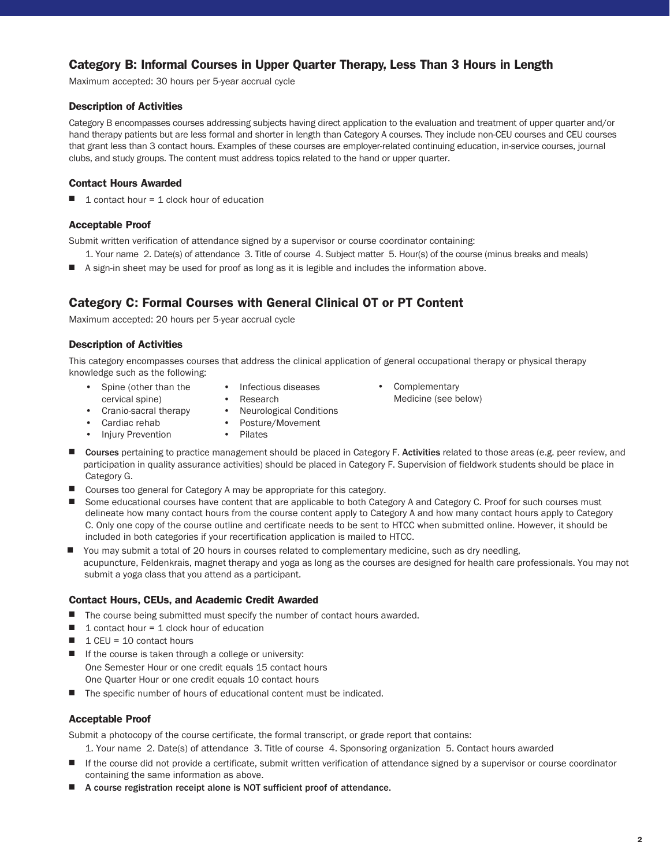# **Category B: Informal Courses in Upper Quarter Therapy, Less Than 3 Hours in Length**

Maximum accepted: 30 hours per 5-year accrual cycle

## **Description of Activities**

Category B encompasses courses addressing subjects having direct application to the evaluation and treatment of upper quarter and/or hand therapy patients but are less formal and shorter in length than Category A courses. They include non-CEU courses and CEU courses that grant less than 3 contact hours. Examples of these courses are employer-related continuing education, in-service courses, journal clubs, and study groups. The content must address topics related to the hand or upper quarter.

## **Contact Hours Awarded**

 $\blacksquare$  1 contact hour = 1 clock hour of education

## **Acceptable Proof**

Submit written verification of attendance signed by a supervisor or course coordinator containing:

- 1. Your name 2. Date(s) of attendance 3. Title of course 4. Subject matter 5. Hour(s) of the course (minus breaks and meals)
- A sign-in sheet may be used for proof as long as it is legible and includes the information above.

# **Category C: Formal Courses with General Clinical OT or PT Content**

Maximum accepted: 20 hours per 5-year accrual cycle

## **Description of Activities**

This category encompasses courses that address the clinical application of general occupational therapy or physical therapy knowledge such as the following:

- Spine (other than the cervical spine)
- Infectious diseases
- Cranio-sacral therapy
- Research • Neurological Conditions
- Cardiac rehab
- Posture/Movement
- Injury Prevention
- Pilates
- Courses pertaining to practice management should be placed in Category F. Activities related to those areas (e.g. peer review, and participation in quality assurance activities) should be placed in Category F. Supervision of fieldwork students should be place in Category G.

• Complementary

Medicine (see below)

- Courses too general for Category A may be appropriate for this category.
- Some educational courses have content that are applicable to both Category A and Category C. Proof for such courses must delineate how many contact hours from the course content apply to Category A and how many contact hours apply to Category C. Only one copy of the course outline and certificate needs to be sent to HTCC when submitted online. However, it should be included in both categories if your recertification application is mailed to HTCC.
- You may submit a total of 20 hours in courses related to complementary medicine, such as dry needling, acupuncture, Feldenkrais, magnet therapy and yoga as long as the courses are designed for health care professionals. You may not submit a yoga class that you attend as a participant.

### **Contact Hours, CEUs, and Academic Credit Awarded**

- The course being submitted must specify the number of contact hours awarded.
- $\blacksquare$  1 contact hour = 1 clock hour of education
- $\blacksquare$  1 CEU = 10 contact hours
- If the course is taken through a college or university: One Semester Hour or one credit equals 15 contact hours One Quarter Hour or one credit equals 10 contact hours
- The specific number of hours of educational content must be indicated.

## **Acceptable Proof**

Submit a photocopy of the course certificate, the formal transcript, or grade report that contains:

1. Your name 2. Date(s) of attendance 3. Title of course 4. Sponsoring organization 5. Contact hours awarded

- If the course did not provide a certificate, submit written verification of attendance signed by a supervisor or course coordinator containing the same information as above.
- A course registration receipt alone is NOT sufficient proof of attendance.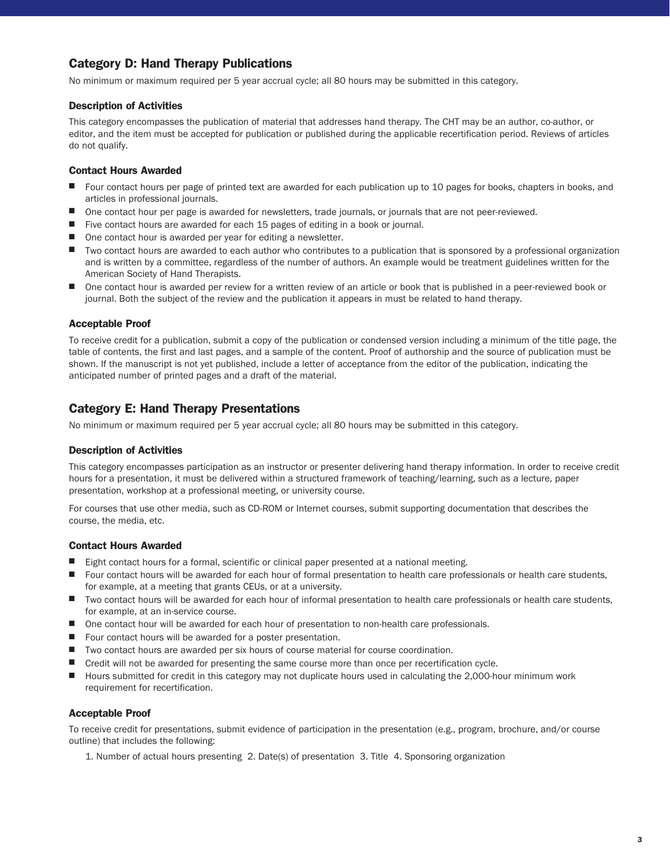# **Category D: Hand Therapy Publications**

No minimum or maximum required per 5 year accrual cycle; all 80 hours may be submitted in this category.

### **Description of Activities**

This category encompasses the publication of material that addresses hand therapy. The CHT may be an author, co-author, or editor, and the item must be accepted for publication or published during the applicable recertification period. Reviews of articles do not qualify.

#### **Contact Hours Awarded**

- Four contact hours per page of printed text are awarded for each publication up to 10 pages for books, chapters in books, and articles in professional journals.
- One contact hour per page is awarded for newsletters, trade journals, or journals that are not peer-reviewed.
- Five contact hours are awarded for each 15 pages of editing in a book or journal.
- One contact hour is awarded per year for editing a newsletter.
- Two contact hours are awarded to each author who contributes to a publication that is sponsored by a professional organization and is written by a committee, regardless of the number of authors. An example would be treatment guidelines written for the American Society of Hand Therapists.
- One contact hour is awarded per review for a written review of an article or book that is published in a peer-reviewed book or journal. Both the subject of the review and the publication it appears in must be related to hand therapy.

#### **Acceptable Proof**

To receive credit for a publication, submit a copy of the publication or condensed version including a minimum of the title page, the table of contents, the first and last pages, and a sample of the content. Proof of authorship and the source of publication must be shown. If the manuscript is not yet published, include a letter of acceptance from the editor of the publication, indicating the anticipated number of printed pages and a draft of the material.

## **Category E: Hand Therapy Presentations**

No minimum or maximum required per 5 year accrual cycle; all 80 hours may be submitted in this category.

#### **Description of Activities**

This category encompasses participation as an instructor or presenter delivering hand therapy information. In order to receive credit hours for a presentation, it must be delivered within a structured framework of teaching/learning, such as a lecture, paper presentation, workshop at a professional meeting, or university course.

For courses that use other media, such as CD-ROM or Internet courses, submit supporting documentation that describes the course, the media, etc.

#### **Contact Hours Awarded**

- Eight contact hours for a formal, scientific or clinical paper presented at a national meeting.
- Four contact hours will be awarded for each hour of formal presentation to health care professionals or health care students, for example, at a meeting that grants CEUs, or at a university.
- Two contact hours will be awarded for each hour of informal presentation to health care professionals or health care students, for example, at an in-service course.
- One contact hour will be awarded for each hour of presentation to non-health care professionals.
- Four contact hours will be awarded for a poster presentation.
- Two contact hours are awarded per six hours of course material for course coordination.
- Credit will not be awarded for presenting the same course more than once per recertification cycle.
- Hours submitted for credit in this category may not duplicate hours used in calculating the 2,000-hour minimum work requirement for recertification.

#### **Acceptable Proof**

To receive credit for presentations, submit evidence of participation in the presentation (e.g., program, brochure, and/or course outline) that includes the following:

1. Number of actual hours presenting 2. Date(s) of presentation 3. Title 4. Sponsoring organization